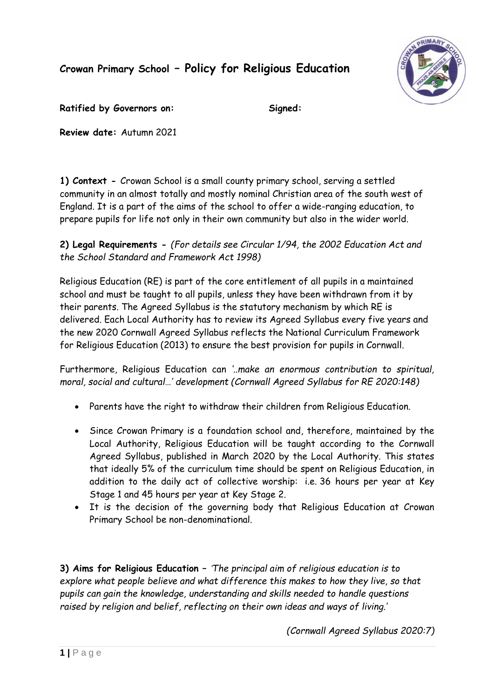**Crowan Primary School – Policy for Religious Education**



Ratified by Governors on: Signed:

**Review date:** Autumn 2021

**1) Context -** Crowan School is a small county primary school, serving a settled community in an almost totally and mostly nominal Christian area of the south west of England. It is a part of the aims of the school to offer a wide-ranging education, to prepare pupils for life not only in their own community but also in the wider world.

**2) Legal Requirements -** *(For details see Circular 1/94, the 2002 Education Act and the School Standard and Framework Act 1998)*

Religious Education (RE) is part of the core entitlement of all pupils in a maintained school and must be taught to all pupils, unless they have been withdrawn from it by their parents. The Agreed Syllabus is the statutory mechanism by which RE is delivered. Each Local Authority has to review its Agreed Syllabus every five years and the new 2020 Cornwall Agreed Syllabus reflects the National Curriculum Framework for Religious Education (2013) to ensure the best provision for pupils in Cornwall.

Furthermore, Religious Education can *'..make an enormous contribution to spiritual, moral, social and cultural…' development (Cornwall Agreed Syllabus for RE 2020:148)*

- Parents have the right to withdraw their children from Religious Education.
- Since Crowan Primary is a foundation school and, therefore, maintained by the Local Authority, Religious Education will be taught according to the Cornwall Agreed Syllabus, published in March 2020 by the Local Authority. This states that ideally 5% of the curriculum time should be spent on Religious Education, in addition to the daily act of collective worship: i.e. 36 hours per year at Key Stage 1 and 45 hours per year at Key Stage 2.
- It is the decision of the governing body that Religious Education at Crowan Primary School be non-denominational.

**3) Aims for Religious Education –** *'The principal aim of religious education is to explore what people believe and what difference this makes to how they live, so that pupils can gain the knowledge, understanding and skills needed to handle questions raised by religion and belief, reflecting on their own ideas and ways of living.'*

*(Cornwall Agreed Syllabus 2020:7)*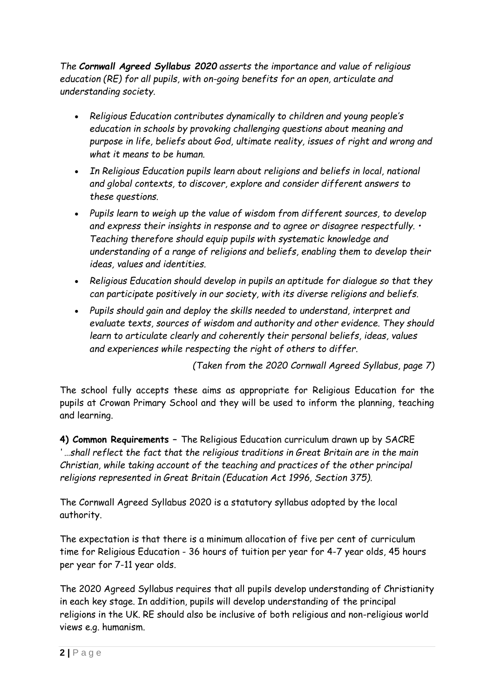*The Cornwall Agreed Syllabus 2020 asserts the importance and value of religious education (RE) for all pupils, with on-going benefits for an open, articulate and understanding society.* 

- *Religious Education contributes dynamically to children and young people's education in schools by provoking challenging questions about meaning and purpose in life, beliefs about God, ultimate reality, issues of right and wrong and what it means to be human.*
- *In Religious Education pupils learn about religions and beliefs in local, national and global contexts, to discover, explore and consider different answers to these questions.*
- *Pupils learn to weigh up the value of wisdom from different sources, to develop and express their insights in response and to agree or disagree respectfully. • Teaching therefore should equip pupils with systematic knowledge and understanding of a range of religions and beliefs, enabling them to develop their ideas, values and identities.*
- *Religious Education should develop in pupils an aptitude for dialogue so that they can participate positively in our society, with its diverse religions and beliefs.*
- *Pupils should gain and deploy the skills needed to understand, interpret and evaluate texts, sources of wisdom and authority and other evidence. They should learn to articulate clearly and coherently their personal beliefs, ideas, values and experiences while respecting the right of others to differ.*

*(Taken from the 2020 Cornwall Agreed Syllabus, page 7)*

The school fully accepts these aims as appropriate for Religious Education for the pupils at Crowan Primary School and they will be used to inform the planning, teaching and learning.

**4) Common Requirements –** The Religious Education curriculum drawn up by SACRE *' …shall reflect the fact that the religious traditions in Great Britain are in the main Christian, while taking account of the teaching and practices of the other principal religions represented in Great Britain (Education Act 1996, Section 375).*

The Cornwall Agreed Syllabus 2020 is a statutory syllabus adopted by the local authority.

The expectation is that there is a minimum allocation of five per cent of curriculum time for Religious Education - 36 hours of tuition per year for 4-7 year olds, 45 hours per year for 7-11 year olds.

The 2020 Agreed Syllabus requires that all pupils develop understanding of Christianity in each key stage. In addition, pupils will develop understanding of the principal religions in the UK. RE should also be inclusive of both religious and non-religious world views e.g. humanism.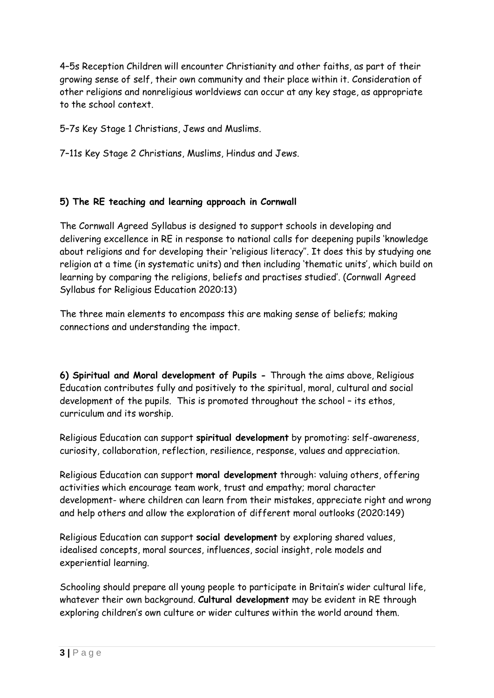4–5s Reception Children will encounter Christianity and other faiths, as part of their growing sense of self, their own community and their place within it. Consideration of other religions and nonreligious worldviews can occur at any key stage, as appropriate to the school context.

5–7s Key Stage 1 Christians, Jews and Muslims.

7–11s Key Stage 2 Christians, Muslims, Hindus and Jews.

# **5) The RE teaching and learning approach in Cornwall**

The Cornwall Agreed Syllabus is designed to support schools in developing and delivering excellence in RE in response to national calls for deepening pupils 'knowledge about religions and for developing their 'religious literacy''. It does this by studying one religion at a time (in systematic units) and then including 'thematic units', which build on learning by comparing the religions, beliefs and practises studied'. (Cornwall Agreed Syllabus for Religious Education 2020:13)

The three main elements to encompass this are making sense of beliefs; making connections and understanding the impact.

**6) Spiritual and Moral development of Pupils -** Through the aims above, Religious Education contributes fully and positively to the spiritual, moral, cultural and social development of the pupils. This is promoted throughout the school – its ethos, curriculum and its worship.

Religious Education can support **spiritual development** by promoting: self-awareness, curiosity, collaboration, reflection, resilience, response, values and appreciation.

Religious Education can support **moral development** through: valuing others, offering activities which encourage team work, trust and empathy; moral character development- where children can learn from their mistakes, appreciate right and wrong and help others and allow the exploration of different moral outlooks (2020:149)

Religious Education can support **social development** by exploring shared values, idealised concepts, moral sources, influences, social insight, role models and experiential learning.

Schooling should prepare all young people to participate in Britain's wider cultural life, whatever their own background. **Cultural development** may be evident in RE through exploring children's own culture or wider cultures within the world around them.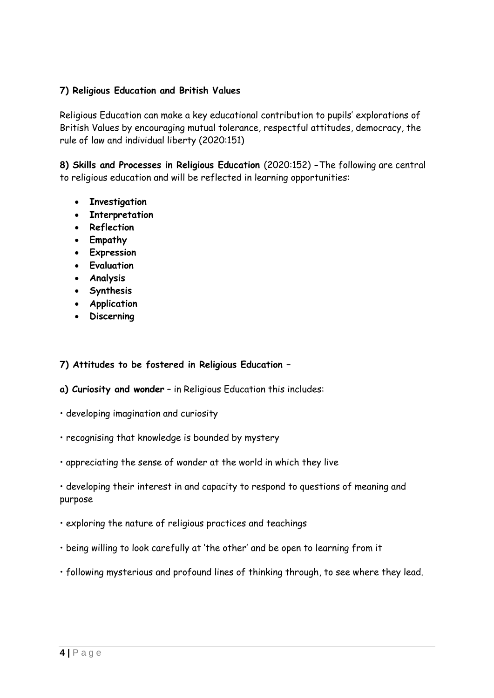### **7) Religious Education and British Values**

Religious Education can make a key educational contribution to pupils' explorations of British Values by encouraging mutual tolerance, respectful attitudes, democracy, the rule of law and individual liberty (2020:151)

**8) Skills and Processes in Religious Education** (2020:152) **-**The following are central to religious education and will be reflected in learning opportunities:

- **Investigation**
- **Interpretation**
- **Reflection**
- **Empathy**
- **Expression**
- **Evaluation**
- **Analysis**
- **Synthesis**
- **Application**
- **Discerning**

#### **7) Attitudes to be fostered in Religious Education –**

- **a) Curiosity and wonder** in Religious Education this includes:
- developing imagination and curiosity
- recognising that knowledge is bounded by mystery
- appreciating the sense of wonder at the world in which they live

• developing their interest in and capacity to respond to questions of meaning and purpose

- exploring the nature of religious practices and teachings
- being willing to look carefully at 'the other' and be open to learning from it
- following mysterious and profound lines of thinking through, to see where they lead.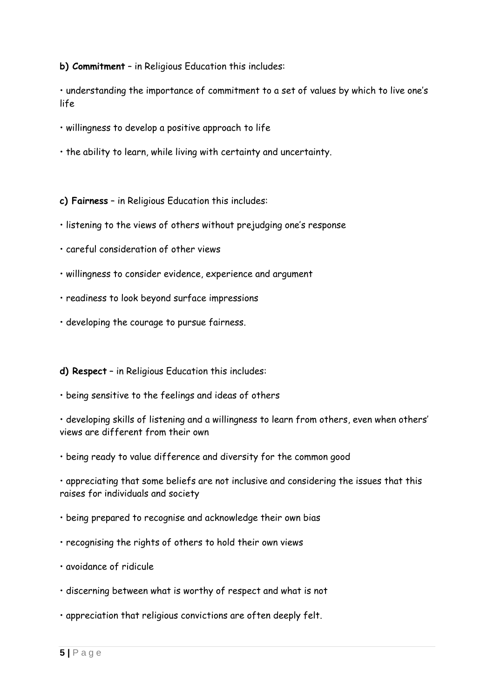**b) Commitment** – in Religious Education this includes:

• understanding the importance of commitment to a set of values by which to live one's life

- willingness to develop a positive approach to life
- the ability to learn, while living with certainty and uncertainty.

**c) Fairness** – in Religious Education this includes:

- listening to the views of others without prejudging one's response
- careful consideration of other views
- willingness to consider evidence, experience and argument
- readiness to look beyond surface impressions
- developing the courage to pursue fairness.

#### **d) Respect** – in Religious Education this includes:

• being sensitive to the feelings and ideas of others

• developing skills of listening and a willingness to learn from others, even when others' views are different from their own

• being ready to value difference and diversity for the common good

• appreciating that some beliefs are not inclusive and considering the issues that this raises for individuals and society

• being prepared to recognise and acknowledge their own bias

- recognising the rights of others to hold their own views
- avoidance of ridicule
- discerning between what is worthy of respect and what is not
- appreciation that religious convictions are often deeply felt.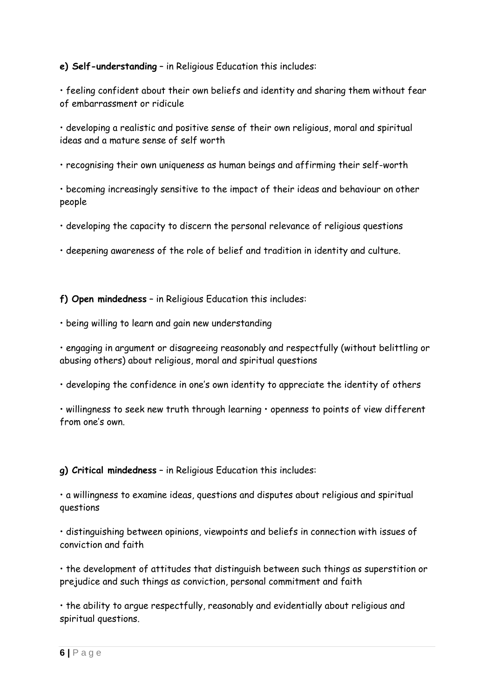## **e) Self-understanding** – in Religious Education this includes:

• feeling confident about their own beliefs and identity and sharing them without fear of embarrassment or ridicule

• developing a realistic and positive sense of their own religious, moral and spiritual ideas and a mature sense of self worth

• recognising their own uniqueness as human beings and affirming their self-worth

• becoming increasingly sensitive to the impact of their ideas and behaviour on other people

• developing the capacity to discern the personal relevance of religious questions

• deepening awareness of the role of belief and tradition in identity and culture.

**f) Open mindedness** – in Religious Education this includes:

• being willing to learn and gain new understanding

• engaging in argument or disagreeing reasonably and respectfully (without belittling or abusing others) about religious, moral and spiritual questions

• developing the confidence in one's own identity to appreciate the identity of others

• willingness to seek new truth through learning • openness to points of view different from one's own.

**g) Critical mindedness** – in Religious Education this includes:

• a willingness to examine ideas, questions and disputes about religious and spiritual questions

• distinguishing between opinions, viewpoints and beliefs in connection with issues of conviction and faith

• the development of attitudes that distinguish between such things as superstition or prejudice and such things as conviction, personal commitment and faith

• the ability to argue respectfully, reasonably and evidentially about religious and spiritual questions.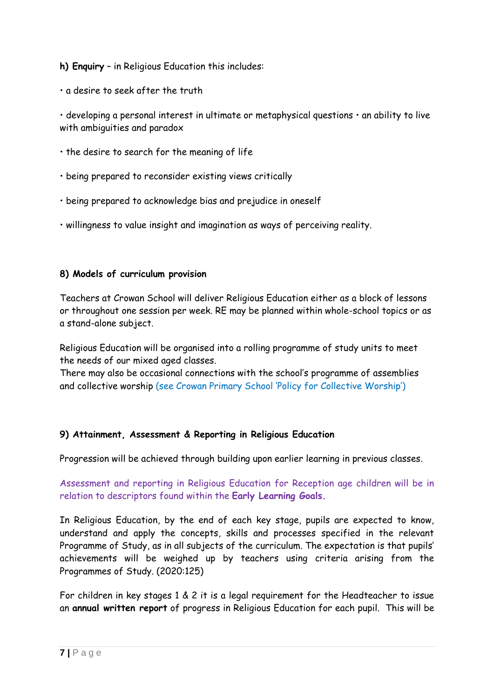**h) Enquiry** – in Religious Education this includes:

• a desire to seek after the truth

• developing a personal interest in ultimate or metaphysical questions • an ability to live with ambiguities and paradox

- the desire to search for the meaning of life
- being prepared to reconsider existing views critically
- being prepared to acknowledge bias and prejudice in oneself
- willingness to value insight and imagination as ways of perceiving reality.

### **8) Models of curriculum provision**

Teachers at Crowan School will deliver Religious Education either as a block of lessons or throughout one session per week. RE may be planned within whole-school topics or as a stand-alone subject.

Religious Education will be organised into a rolling programme of study units to meet the needs of our mixed aged classes.

There may also be occasional connections with the school's programme of assemblies and collective worship (see Crowan Primary School 'Policy for Collective Worship')

#### **9) Attainment, Assessment & Reporting in Religious Education**

Progression will be achieved through building upon earlier learning in previous classes.

Assessment and reporting in Religious Education for Reception age children will be in relation to descriptors found within the **Early Learning Goals.**

In Religious Education, by the end of each key stage, pupils are expected to know, understand and apply the concepts, skills and processes specified in the relevant Programme of Study, as in all subjects of the curriculum. The expectation is that pupils' achievements will be weighed up by teachers using criteria arising from the Programmes of Study. (2020:125)

For children in key stages 1 & 2 it is a legal requirement for the Headteacher to issue an **annual written report** of progress in Religious Education for each pupil. This will be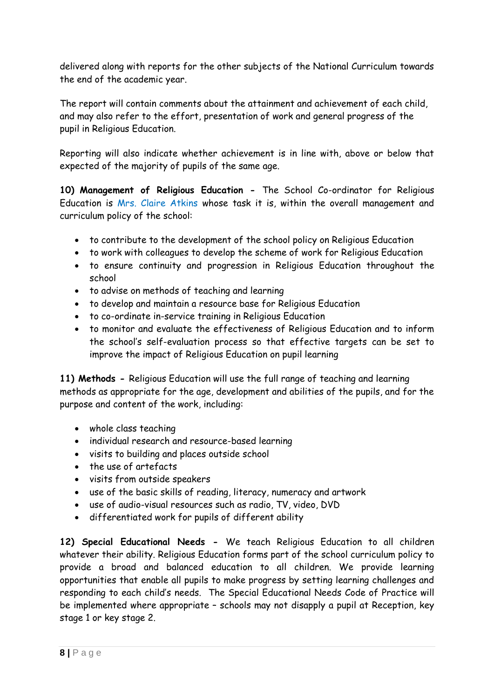delivered along with reports for the other subjects of the National Curriculum towards the end of the academic year.

The report will contain comments about the attainment and achievement of each child, and may also refer to the effort, presentation of work and general progress of the pupil in Religious Education.

Reporting will also indicate whether achievement is in line with, above or below that expected of the majority of pupils of the same age.

**10) Management of Religious Education -** The School Co-ordinator for Religious Education is Mrs. Claire Atkins whose task it is, within the overall management and curriculum policy of the school:

- to contribute to the development of the school policy on Religious Education
- to work with colleagues to develop the scheme of work for Religious Education
- to ensure continuity and progression in Religious Education throughout the school
- to advise on methods of teaching and learning
- to develop and maintain a resource base for Religious Education
- to co-ordinate in-service training in Religious Education
- to monitor and evaluate the effectiveness of Religious Education and to inform the school's self-evaluation process so that effective targets can be set to improve the impact of Religious Education on pupil learning

**11) Methods -** Religious Education will use the full range of teaching and learning methods as appropriate for the age, development and abilities of the pupils, and for the purpose and content of the work, including:

- whole class teaching
- individual research and resource-based learning
- visits to building and places outside school
- the use of artefacts
- visits from outside speakers
- use of the basic skills of reading, literacy, numeracy and artwork
- use of audio-visual resources such as radio, TV, video, DVD
- differentiated work for pupils of different ability

**12) Special Educational Needs -** We teach Religious Education to all children whatever their ability. Religious Education forms part of the school curriculum policy to provide a broad and balanced education to all children. We provide learning opportunities that enable all pupils to make progress by setting learning challenges and responding to each child's needs. The Special Educational Needs Code of Practice will be implemented where appropriate – schools may not disapply a pupil at Reception, key stage 1 or key stage 2.